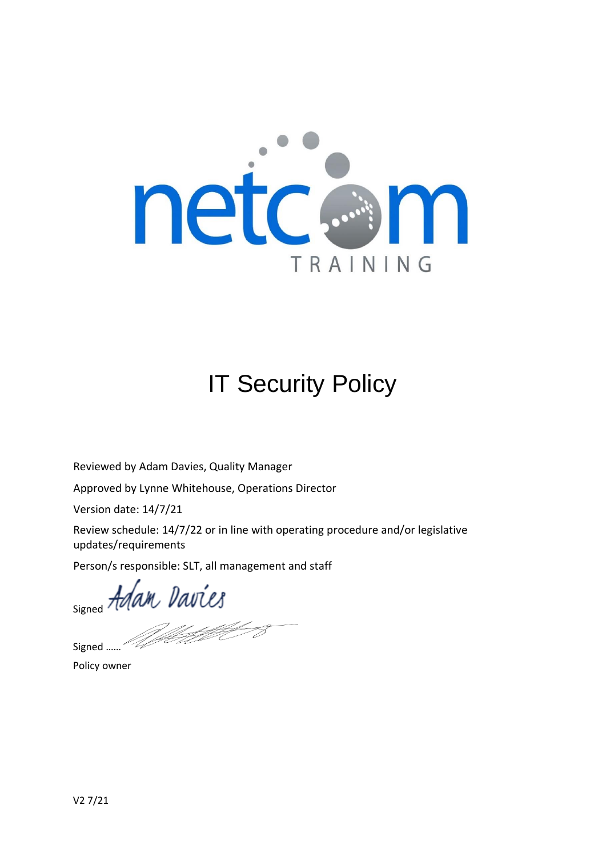

# IT Security Policy

Reviewed by Adam Davies, Quality Manager

Approved by Lynne Whitehouse, Operations Director

Version date: 14/7/21

Review schedule: 14/7/22 or in line with operating procedure and/or legislative updates/requirements

Person/s responsible: SLT, all management and staff

signed Adam Davies

)<br>Setel S

Signed ……

Policy owner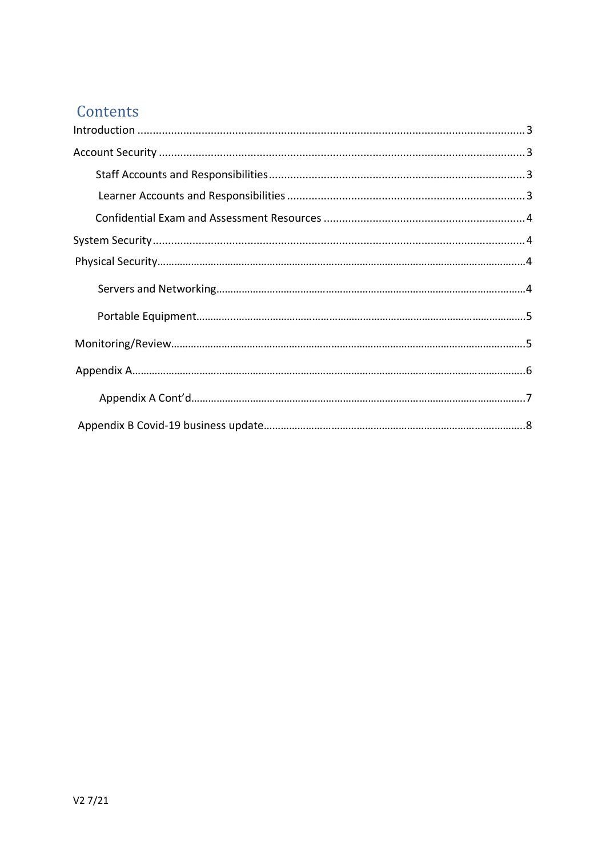## Contents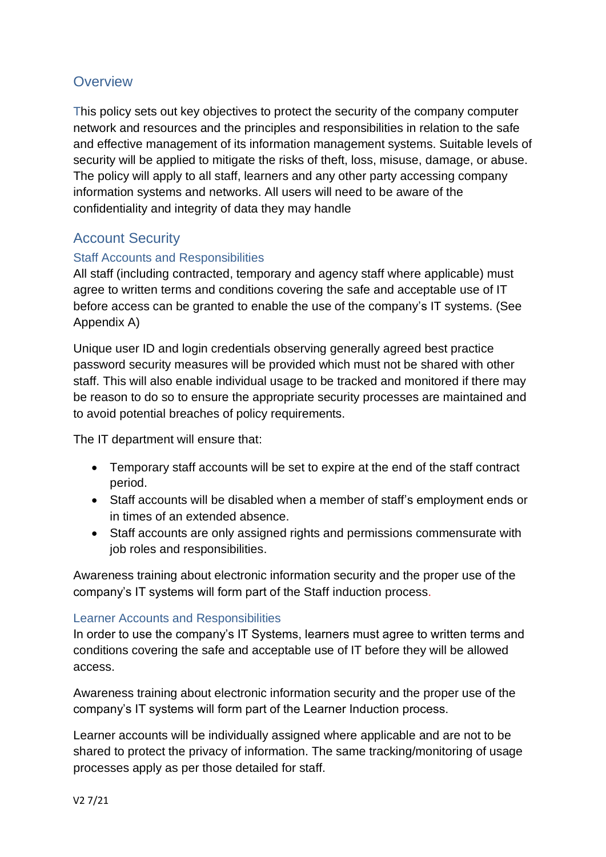## **Overview**

This policy sets out key objectives to protect the security of the company computer network and resources and the principles and responsibilities in relation to the safe and effective management of its information management systems. Suitable levels of security will be applied to mitigate the risks of theft, loss, misuse, damage, or abuse. The policy will apply to all staff, learners and any other party accessing company information systems and networks. All users will need to be aware of the confidentiality and integrity of data they may handle

## Account Security

### Staff Accounts and Responsibilities

All staff (including contracted, temporary and agency staff where applicable) must agree to written terms and conditions covering the safe and acceptable use of IT before access can be granted to enable the use of the company's IT systems. (See Appendix A)

Unique user ID and login credentials observing generally agreed best practice password security measures will be provided which must not be shared with other staff. This will also enable individual usage to be tracked and monitored if there may be reason to do so to ensure the appropriate security processes are maintained and to avoid potential breaches of policy requirements.

The IT department will ensure that:

- Temporary staff accounts will be set to expire at the end of the staff contract period.
- Staff accounts will be disabled when a member of staff's employment ends or in times of an extended absence.
- Staff accounts are only assigned rights and permissions commensurate with job roles and responsibilities.

Awareness training about electronic information security and the proper use of the company's IT systems will form part of the Staff induction process.

#### Learner Accounts and Responsibilities

In order to use the company's IT Systems, learners must agree to written terms and conditions covering the safe and acceptable use of IT before they will be allowed access.

Awareness training about electronic information security and the proper use of the company's IT systems will form part of the Learner Induction process.

Learner accounts will be individually assigned where applicable and are not to be shared to protect the privacy of information. The same tracking/monitoring of usage processes apply as per those detailed for staff.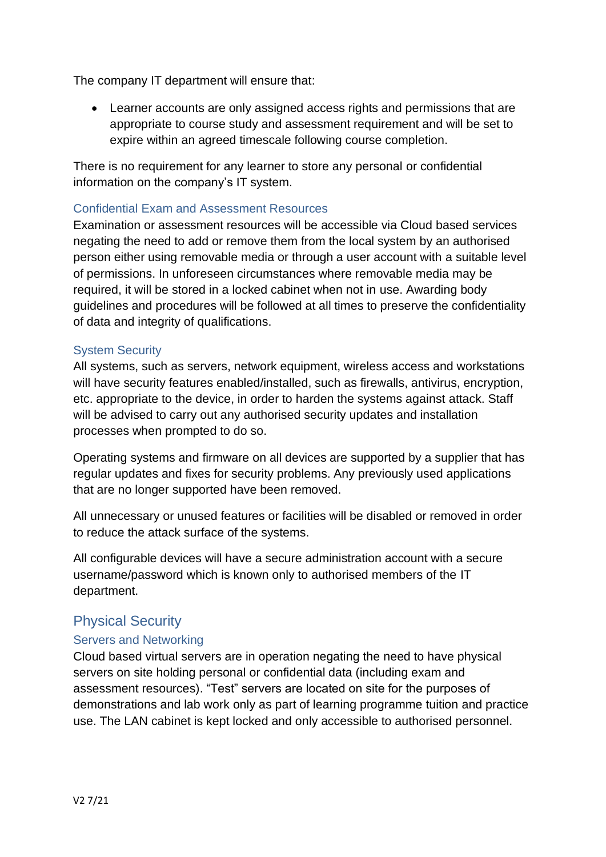The company IT department will ensure that:

• Learner accounts are only assigned access rights and permissions that are appropriate to course study and assessment requirement and will be set to expire within an agreed timescale following course completion.

There is no requirement for any learner to store any personal or confidential information on the company's IT system.

## Confidential Exam and Assessment Resources

Examination or assessment resources will be accessible via Cloud based services negating the need to add or remove them from the local system by an authorised person either using removable media or through a user account with a suitable level of permissions. In unforeseen circumstances where removable media may be required, it will be stored in a locked cabinet when not in use. Awarding body guidelines and procedures will be followed at all times to preserve the confidentiality of data and integrity of qualifications.

#### System Security

All systems, such as servers, network equipment, wireless access and workstations will have security features enabled/installed, such as firewalls, antivirus, encryption, etc. appropriate to the device, in order to harden the systems against attack. Staff will be advised to carry out any authorised security updates and installation processes when prompted to do so.

Operating systems and firmware on all devices are supported by a supplier that has regular updates and fixes for security problems. Any previously used applications that are no longer supported have been removed.

All unnecessary or unused features or facilities will be disabled or removed in order to reduce the attack surface of the systems.

All configurable devices will have a secure administration account with a secure username/password which is known only to authorised members of the IT department.

## Physical Security

### Servers and Networking

Cloud based virtual servers are in operation negating the need to have physical servers on site holding personal or confidential data (including exam and assessment resources). "Test" servers are located on site for the purposes of demonstrations and lab work only as part of learning programme tuition and practice use. The LAN cabinet is kept locked and only accessible to authorised personnel.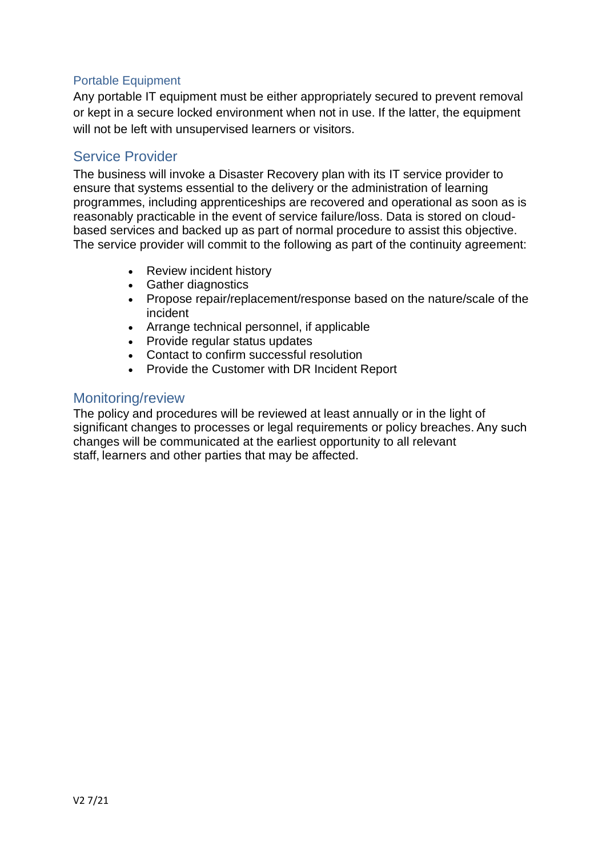#### Portable Equipment

Any portable IT equipment must be either appropriately secured to prevent removal or kept in a secure locked environment when not in use. If the latter, the equipment will not be left with unsupervised learners or visitors.

## Service Provider

The business will invoke a Disaster Recovery plan with its IT service provider to ensure that systems essential to the delivery or the administration of learning programmes, including apprenticeships are recovered and operational as soon as is reasonably practicable in the event of service failure/loss. Data is stored on cloudbased services and backed up as part of normal procedure to assist this objective. The service provider will commit to the following as part of the continuity agreement:

- Review incident history
- Gather diagnostics
- Propose repair/replacement/response based on the nature/scale of the incident
- Arrange technical personnel, if applicable
- Provide regular status updates
- Contact to confirm successful resolution
- Provide the Customer with DR Incident Report

#### Monitoring/review

The policy and procedures will be reviewed at least annually or in the light of significant changes to processes or legal requirements or policy breaches. Any such changes will be communicated at the earliest opportunity to all relevant staff, learners and other parties that may be affected.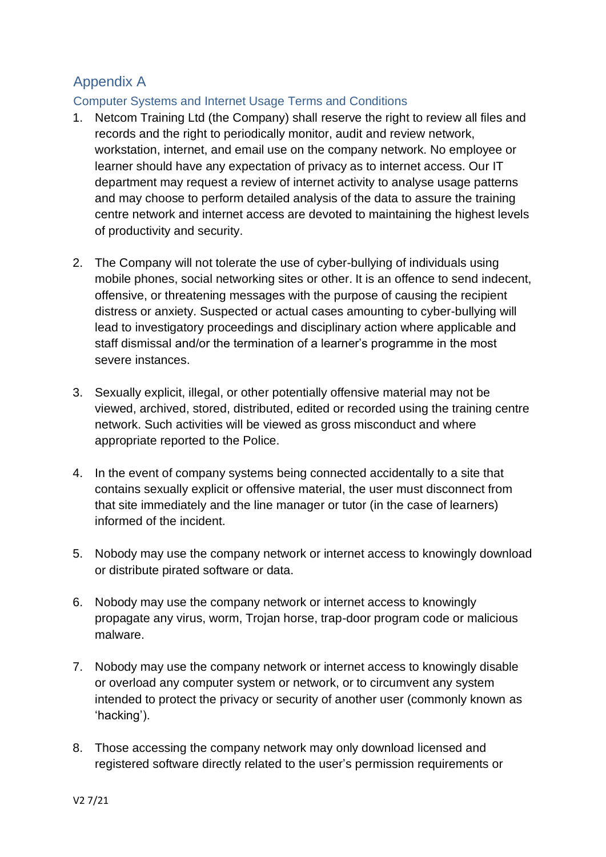## Appendix A

## Computer Systems and Internet Usage Terms and Conditions

- 1. Netcom Training Ltd (the Company) shall reserve the right to review all files and records and the right to periodically monitor, audit and review network, workstation, internet, and email use on the company network. No employee or learner should have any expectation of privacy as to internet access. Our IT department may request a review of internet activity to analyse usage patterns and may choose to perform detailed analysis of the data to assure the training centre network and internet access are devoted to maintaining the highest levels of productivity and security.
- 2. The Company will not tolerate the use of cyber-bullying of individuals using mobile phones, social networking sites or other. It is an offence to send indecent, offensive, or threatening messages with the purpose of causing the recipient distress or anxiety. Suspected or actual cases amounting to cyber-bullying will lead to investigatory proceedings and disciplinary action where applicable and staff dismissal and/or the termination of a learner's programme in the most severe instances.
- 3. Sexually explicit, illegal, or other potentially offensive material may not be viewed, archived, stored, distributed, edited or recorded using the training centre network. Such activities will be viewed as gross misconduct and where appropriate reported to the Police.
- 4. In the event of company systems being connected accidentally to a site that contains sexually explicit or offensive material, the user must disconnect from that site immediately and the line manager or tutor (in the case of learners) informed of the incident.
- 5. Nobody may use the company network or internet access to knowingly download or distribute pirated software or data.
- 6. Nobody may use the company network or internet access to knowingly propagate any virus, worm, Trojan horse, trap-door program code or malicious malware.
- 7. Nobody may use the company network or internet access to knowingly disable or overload any computer system or network, or to circumvent any system intended to protect the privacy or security of another user (commonly known as 'hacking').
- 8. Those accessing the company network may only download licensed and registered software directly related to the user's permission requirements or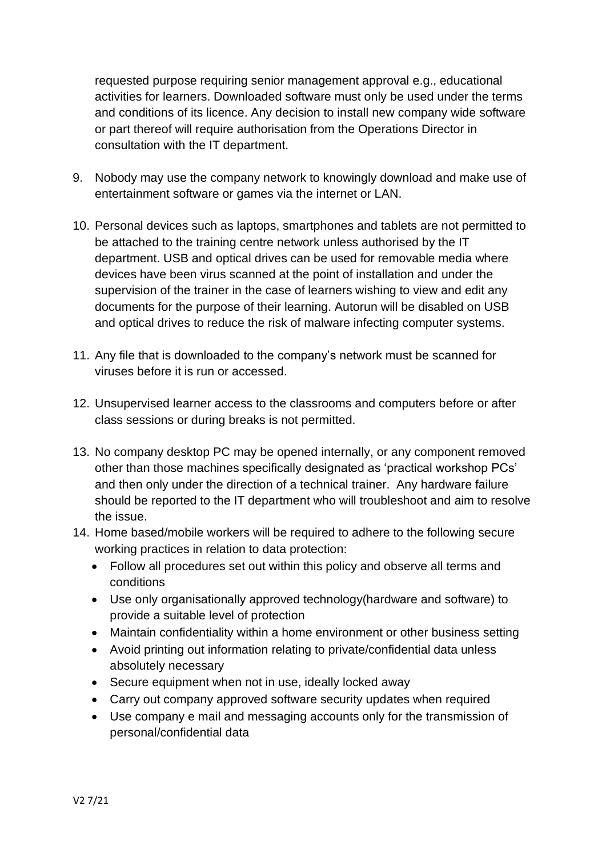requested purpose requiring senior management approval e.g., educational activities for learners. Downloaded software must only be used under the terms and conditions of its licence. Any decision to install new company wide software or part thereof will require authorisation from the Operations Director in consultation with the IT department.

- 9. Nobody may use the company network to knowingly download and make use of entertainment software or games via the internet or LAN.
- 10. Personal devices such as laptops, smartphones and tablets are not permitted to be attached to the training centre network unless authorised by the IT department. USB and optical drives can be used for removable media where devices have been virus scanned at the point of installation and under the supervision of the trainer in the case of learners wishing to view and edit any documents for the purpose of their learning. Autorun will be disabled on USB and optical drives to reduce the risk of malware infecting computer systems.
- 11. Any file that is downloaded to the company's network must be scanned for viruses before it is run or accessed.
- 12. Unsupervised learner access to the classrooms and computers before or after class sessions or during breaks is not permitted.
- 13. No company desktop PC may be opened internally, or any component removed other than those machines specifically designated as 'practical workshop PCs' and then only under the direction of a technical trainer. Any hardware failure should be reported to the IT department who will troubleshoot and aim to resolve the issue.
- 14. Home based/mobile workers will be required to adhere to the following secure working practices in relation to data protection:
	- Follow all procedures set out within this policy and observe all terms and conditions
	- Use only organisationally approved technology(hardware and software) to provide a suitable level of protection
	- Maintain confidentiality within a home environment or other business setting
	- Avoid printing out information relating to private/confidential data unless absolutely necessary
	- Secure equipment when not in use, ideally locked away
	- Carry out company approved software security updates when required
	- Use company e mail and messaging accounts only for the transmission of personal/confidential data